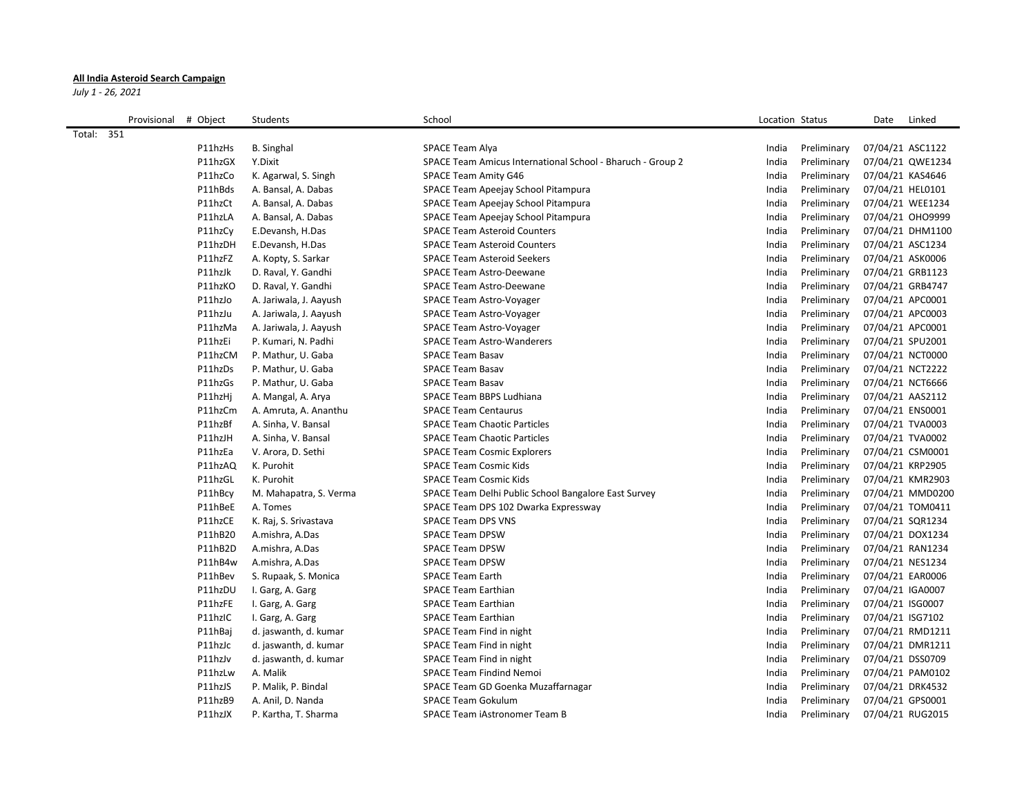## **All India Asteroid Search Campaign**

*July 1 - 26, 2021*

|            | Provisional | # Object | Students               | School                                                     | Location Status |             | Date<br>Linked   |  |
|------------|-------------|----------|------------------------|------------------------------------------------------------|-----------------|-------------|------------------|--|
| Total: 351 |             |          |                        |                                                            |                 |             |                  |  |
|            |             | P11hzHs  | <b>B.</b> Singhal      | SPACE Team Alya                                            | India           | Preliminary | 07/04/21 ASC1122 |  |
|            |             | P11hzGX  | Y.Dixit                | SPACE Team Amicus International School - Bharuch - Group 2 | India           | Preliminary | 07/04/21 QWE1234 |  |
|            |             | P11hzCo  | K. Agarwal, S. Singh   | SPACE Team Amity G46                                       | India           | Preliminary | 07/04/21 KAS4646 |  |
|            |             | P11hBds  | A. Bansal, A. Dabas    | SPACE Team Apeejay School Pitampura                        | India           | Preliminary | 07/04/21 HEL0101 |  |
|            |             | P11hzCt  | A. Bansal, A. Dabas    | SPACE Team Apeejay School Pitampura                        | India           | Preliminary | 07/04/21 WEE1234 |  |
|            |             | P11hzLA  | A. Bansal, A. Dabas    | SPACE Team Apeejay School Pitampura                        | India           | Preliminary | 07/04/21 OHO9999 |  |
|            |             | P11hzCv  | E.Devansh, H.Das       | <b>SPACE Team Asteroid Counters</b>                        | India           | Preliminary | 07/04/21 DHM1100 |  |
|            |             | P11hzDH  | E.Devansh, H.Das       | <b>SPACE Team Asteroid Counters</b>                        | India           | Preliminary | 07/04/21 ASC1234 |  |
|            |             | P11hzFZ  | A. Kopty, S. Sarkar    | <b>SPACE Team Asteroid Seekers</b>                         | India           | Preliminary | 07/04/21 ASK0006 |  |
|            |             | P11hzJk  | D. Raval, Y. Gandhi    | SPACE Team Astro-Deewane                                   | India           | Preliminary | 07/04/21 GRB1123 |  |
|            |             | P11hzKO  | D. Raval, Y. Gandhi    | SPACE Team Astro-Deewane                                   | India           | Preliminary | 07/04/21 GRB4747 |  |
|            |             | P11hzJo  | A. Jariwala, J. Aayush | SPACE Team Astro-Voyager                                   | India           | Preliminary | 07/04/21 APC0001 |  |
|            |             | P11hzJu  | A. Jariwala, J. Aayush | SPACE Team Astro-Voyager                                   | India           | Preliminary | 07/04/21 APC0003 |  |
|            |             | P11hzMa  | A. Jariwala, J. Aayush | SPACE Team Astro-Voyager                                   | India           | Preliminary | 07/04/21 APC0001 |  |
|            |             | P11hzEi  | P. Kumari, N. Padhi    | <b>SPACE Team Astro-Wanderers</b>                          | India           | Preliminary | 07/04/21 SPU2001 |  |
|            |             | P11hzCM  | P. Mathur, U. Gaba     | <b>SPACE Team Basav</b>                                    | India           | Preliminary | 07/04/21 NCT0000 |  |
|            |             | P11hzDs  | P. Mathur, U. Gaba     | <b>SPACE Team Basav</b>                                    | India           | Preliminary | 07/04/21 NCT2222 |  |
|            |             | P11hzGs  | P. Mathur, U. Gaba     | <b>SPACE Team Basav</b>                                    | India           | Preliminary | 07/04/21 NCT6666 |  |
|            |             | P11hzHj  | A. Mangal, A. Arya     | SPACE Team BBPS Ludhiana                                   | India           | Preliminary | 07/04/21 AAS2112 |  |
|            |             | P11hzCm  | A. Amruta, A. Ananthu  | <b>SPACE Team Centaurus</b>                                | India           | Preliminary | 07/04/21 ENS0001 |  |
|            |             | P11hzBf  | A. Sinha, V. Bansal    | <b>SPACE Team Chaotic Particles</b>                        | India           | Preliminary | 07/04/21 TVA0003 |  |
|            |             | P11hzJH  | A. Sinha, V. Bansal    | <b>SPACE Team Chaotic Particles</b>                        | India           | Preliminary | 07/04/21 TVA0002 |  |
|            |             | P11hzEa  | V. Arora, D. Sethi     | <b>SPACE Team Cosmic Explorers</b>                         | India           | Preliminary | 07/04/21 CSM0001 |  |
|            |             | P11hzAQ  | K. Purohit             | <b>SPACE Team Cosmic Kids</b>                              | India           | Preliminary | 07/04/21 KRP2905 |  |
|            |             | P11hzGL  | K. Purohit             | <b>SPACE Team Cosmic Kids</b>                              | India           | Preliminary | 07/04/21 KMR2903 |  |
|            |             | P11hBcy  | M. Mahapatra, S. Verma | SPACE Team Delhi Public School Bangalore East Survey       | India           | Preliminary | 07/04/21 MMD0200 |  |
|            |             | P11hBeE  | A. Tomes               | SPACE Team DPS 102 Dwarka Expressway                       | India           | Preliminary | 07/04/21 TOM0411 |  |
|            |             | P11hzCE  | K. Raj, S. Srivastava  | <b>SPACE Team DPS VNS</b>                                  | India           | Preliminary | 07/04/21 SQR1234 |  |
|            |             | P11hB20  | A.mishra, A.Das        | <b>SPACE Team DPSW</b>                                     | India           | Preliminary | 07/04/21 DOX1234 |  |
|            |             | P11hB2D  | A.mishra, A.Das        | <b>SPACE Team DPSW</b>                                     | India           | Preliminary | 07/04/21 RAN1234 |  |
|            |             | P11hB4w  | A.mishra, A.Das        | <b>SPACE Team DPSW</b>                                     | India           | Preliminary | 07/04/21 NES1234 |  |
|            |             | P11hBev  | S. Rupaak, S. Monica   | <b>SPACE Team Earth</b>                                    | India           | Preliminary | 07/04/21 EAR0006 |  |
|            |             | P11hzDU  | I. Garg, A. Garg       | <b>SPACE Team Earthian</b>                                 | India           | Preliminary | 07/04/21 IGA0007 |  |
|            |             | P11hzFE  | I. Garg, A. Garg       | <b>SPACE Team Earthian</b>                                 | India           | Preliminary | 07/04/21 ISG0007 |  |
|            |             | P11hzIC  | I. Garg, A. Garg       | <b>SPACE Team Earthian</b>                                 | India           | Preliminary | 07/04/21 ISG7102 |  |
|            |             | P11hBaj  | d. jaswanth, d. kumar  | SPACE Team Find in night                                   | India           | Preliminary | 07/04/21 RMD1211 |  |
|            |             | P11hzJc  | d. jaswanth, d. kumar  | SPACE Team Find in night                                   | India           | Preliminary | 07/04/21 DMR1211 |  |
|            |             | P11hzJv  | d. jaswanth, d. kumar  | SPACE Team Find in night                                   | India           | Preliminary | 07/04/21 DSS0709 |  |
|            |             | P11hzLw  | A. Malik               | <b>SPACE Team Findind Nemoi</b>                            | India           | Preliminary | 07/04/21 PAM0102 |  |
|            |             | P11hzJS  | P. Malik, P. Bindal    | SPACE Team GD Goenka Muzaffarnagar                         | India           | Preliminary | 07/04/21 DRK4532 |  |
|            |             | P11hzB9  | A. Anil, D. Nanda      | <b>SPACE Team Gokulum</b>                                  | India           | Preliminary | 07/04/21 GPS0001 |  |
|            |             | P11hzJX  | P. Kartha, T. Sharma   | SPACE Team iAstronomer Team B                              | India           | Preliminary | 07/04/21 RUG2015 |  |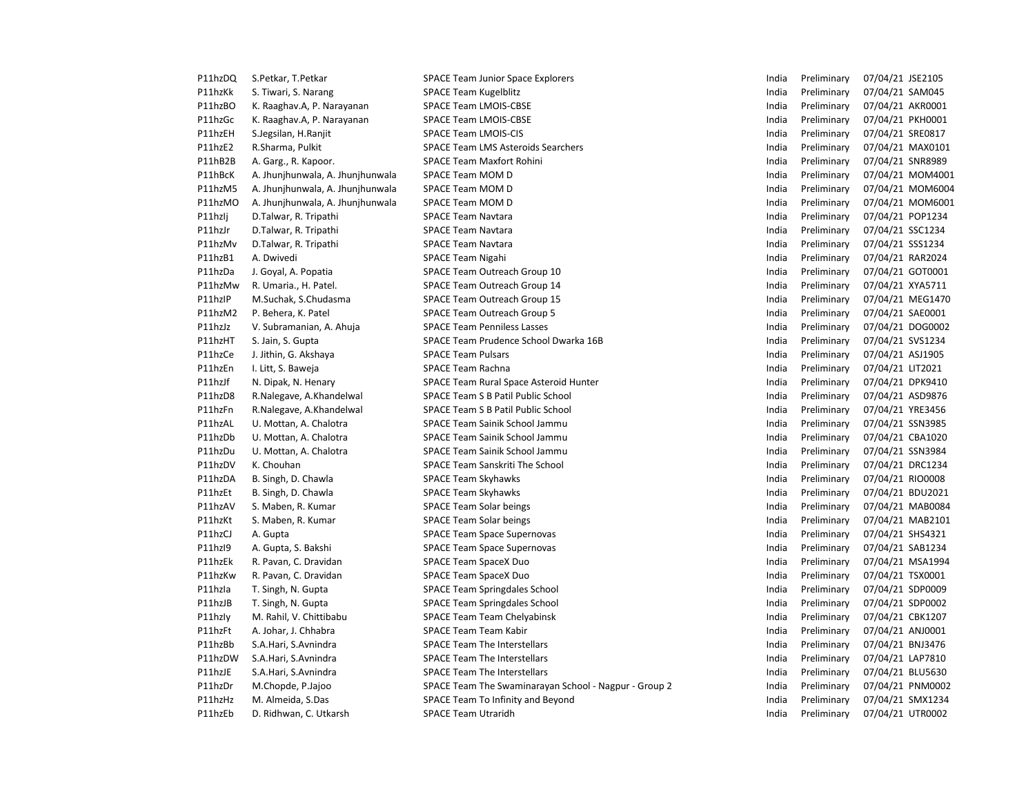| P11hzDQ | S.Petkar, T.Petkar               | <b>SPACE Team Junior Space Explorers</b>              | India | Preliminary | 07/04/21 JSE2105 |                  |
|---------|----------------------------------|-------------------------------------------------------|-------|-------------|------------------|------------------|
| P11hzKk | S. Tiwari, S. Narang             | <b>SPACE Team Kugelblitz</b>                          | India | Preliminary | 07/04/21 SAM045  |                  |
| P11hzBO | K. Raaghav.A, P. Narayanan       | <b>SPACE Team LMOIS-CBSE</b>                          | India | Preliminary | 07/04/21 AKR0001 |                  |
| P11hzGc | K. Raaghav.A, P. Narayanan       | <b>SPACE Team LMOIS-CBSE</b>                          | India | Preliminary | 07/04/21 PKH0001 |                  |
| P11hzEH | S.Jegsilan, H.Ranjit             | <b>SPACE Team LMOIS-CIS</b>                           | India | Preliminary | 07/04/21 SRE0817 |                  |
| P11hzE2 | R.Sharma, Pulkit                 | <b>SPACE Team LMS Asteroids Searchers</b>             | India | Preliminary | 07/04/21 MAX0101 |                  |
| P11hB2B | A. Garg., R. Kapoor.             | <b>SPACE Team Maxfort Rohini</b>                      | India | Preliminary | 07/04/21 SNR8989 |                  |
| P11hBcK | A. Jhunjhunwala, A. Jhunjhunwala | SPACE Team MOM D                                      | India | Preliminary |                  | 07/04/21 MOM4001 |
| P11hzM5 | A. Jhunjhunwala, A. Jhunjhunwala | SPACE Team MOM D                                      | India | Preliminary |                  | 07/04/21 MOM6004 |
| P11hzMO | A. Jhunjhunwala, A. Jhunjhunwala | SPACE Team MOM D                                      | India | Preliminary |                  | 07/04/21 MOM6001 |
| P11hzlj | D.Talwar, R. Tripathi            | <b>SPACE Team Navtara</b>                             | India | Preliminary | 07/04/21 POP1234 |                  |
| P11hzJr | D.Talwar, R. Tripathi            | <b>SPACE Team Navtara</b>                             | India | Preliminary | 07/04/21 SSC1234 |                  |
| P11hzMv | D.Talwar, R. Tripathi            | <b>SPACE Team Navtara</b>                             | India | Preliminary | 07/04/21 SSS1234 |                  |
| P11hzB1 | A. Dwivedi                       | <b>SPACE Team Nigahi</b>                              | India | Preliminary | 07/04/21 RAR2024 |                  |
| P11hzDa | J. Goyal, A. Popatia             | SPACE Team Outreach Group 10                          | India | Preliminary | 07/04/21 GOT0001 |                  |
| P11hzMw | R. Umaria., H. Patel.            | SPACE Team Outreach Group 14                          | India | Preliminary | 07/04/21 XYA5711 |                  |
| P11hzIP | M.Suchak, S.Chudasma             | SPACE Team Outreach Group 15                          | India | Preliminary | 07/04/21 MEG1470 |                  |
| P11hzM2 | P. Behera, K. Patel              | <b>SPACE Team Outreach Group 5</b>                    | India | Preliminary | 07/04/21 SAE0001 |                  |
| P11hzJz | V. Subramanian, A. Ahuja         | <b>SPACE Team Penniless Lasses</b>                    | India | Preliminary | 07/04/21 DOG0002 |                  |
| P11hzHT | S. Jain, S. Gupta                | SPACE Team Prudence School Dwarka 16B                 | India | Preliminary | 07/04/21 SVS1234 |                  |
| P11hzCe | J. Jithin, G. Akshaya            | <b>SPACE Team Pulsars</b>                             | India | Preliminary | 07/04/21 ASJ1905 |                  |
| P11hzEn | I. Litt, S. Baweja               | <b>SPACE Team Rachna</b>                              | India | Preliminary | 07/04/21 LIT2021 |                  |
| P11hzJf | N. Dipak, N. Henary              | SPACE Team Rural Space Asteroid Hunter                | India | Preliminary | 07/04/21 DPK9410 |                  |
| P11hzD8 | R.Nalegave, A.Khandelwal         | SPACE Team S B Patil Public School                    | India | Preliminary | 07/04/21 ASD9876 |                  |
| P11hzFn | R.Nalegave, A.Khandelwal         | SPACE Team S B Patil Public School                    | India | Preliminary | 07/04/21 YRE3456 |                  |
| P11hzAL | U. Mottan, A. Chalotra           | SPACE Team Sainik School Jammu                        | India | Preliminary | 07/04/21 SSN3985 |                  |
| P11hzDb | U. Mottan, A. Chalotra           | SPACE Team Sainik School Jammu                        | India | Preliminary | 07/04/21 CBA1020 |                  |
| P11hzDu | U. Mottan, A. Chalotra           | SPACE Team Sainik School Jammu                        | India | Preliminary | 07/04/21 SSN3984 |                  |
| P11hzDV | K. Chouhan                       | <b>SPACE Team Sanskriti The School</b>                | India | Preliminary | 07/04/21 DRC1234 |                  |
| P11hzDA | B. Singh, D. Chawla              | <b>SPACE Team Skyhawks</b>                            | India | Preliminary | 07/04/21 RIO0008 |                  |
| P11hzEt | B. Singh, D. Chawla              | <b>SPACE Team Skyhawks</b>                            | India | Preliminary | 07/04/21 BDU2021 |                  |
| P11hzAV | S. Maben, R. Kumar               | <b>SPACE Team Solar beings</b>                        | India | Preliminary | 07/04/21 MAB0084 |                  |
| P11hzKt | S. Maben, R. Kumar               | <b>SPACE Team Solar beings</b>                        | India | Preliminary | 07/04/21 MAB2101 |                  |
| P11hzCJ | A. Gupta                         | <b>SPACE Team Space Supernovas</b>                    | India | Preliminary | 07/04/21 SHS4321 |                  |
| P11hzI9 | A. Gupta, S. Bakshi              | <b>SPACE Team Space Supernovas</b>                    | India | Preliminary | 07/04/21 SAB1234 |                  |
| P11hzEk | R. Pavan, C. Dravidan            | <b>SPACE Team SpaceX Duo</b>                          | India | Preliminary | 07/04/21 MSA1994 |                  |
| P11hzKw | R. Pavan, C. Dravidan            | <b>SPACE Team SpaceX Duo</b>                          | India | Preliminary | 07/04/21 TSX0001 |                  |
| P11hzla | T. Singh, N. Gupta               | <b>SPACE Team Springdales School</b>                  | India | Preliminary | 07/04/21 SDP0009 |                  |
| P11hzJB | T. Singh, N. Gupta               | <b>SPACE Team Springdales School</b>                  | India | Preliminary | 07/04/21 SDP0002 |                  |
| P11hzly | M. Rahil, V. Chittibabu          | <b>SPACE Team Team Chelyabinsk</b>                    | India | Preliminary | 07/04/21 CBK1207 |                  |
| P11hzFt | A. Johar, J. Chhabra             | <b>SPACE Team Team Kabir</b>                          | India | Preliminary | 07/04/21 ANJ0001 |                  |
| P11hzBb | S.A.Hari, S.Avnindra             | <b>SPACE Team The Interstellars</b>                   | India | Preliminary | 07/04/21 BNJ3476 |                  |
| P11hzDW | S.A.Hari, S.Avnindra             | <b>SPACE Team The Interstellars</b>                   | India | Preliminary | 07/04/21 LAP7810 |                  |
| P11hzJE | S.A.Hari, S.Avnindra             | <b>SPACE Team The Interstellars</b>                   | India | Preliminary | 07/04/21 BLU5630 |                  |
| P11hzDr | M.Chopde, P.Jajoo                | SPACE Team The Swaminarayan School - Nagpur - Group 2 | India | Preliminary | 07/04/21 PNM0002 |                  |
| P11hzHz | M. Almeida, S.Das                | SPACE Team To Infinity and Beyond                     | India | Preliminary | 07/04/21 SMX1234 |                  |
| P11hzEb | D. Ridhwan, C. Utkarsh           | <b>SPACE Team Utraridh</b>                            | India | Preliminary | 07/04/21 UTR0002 |                  |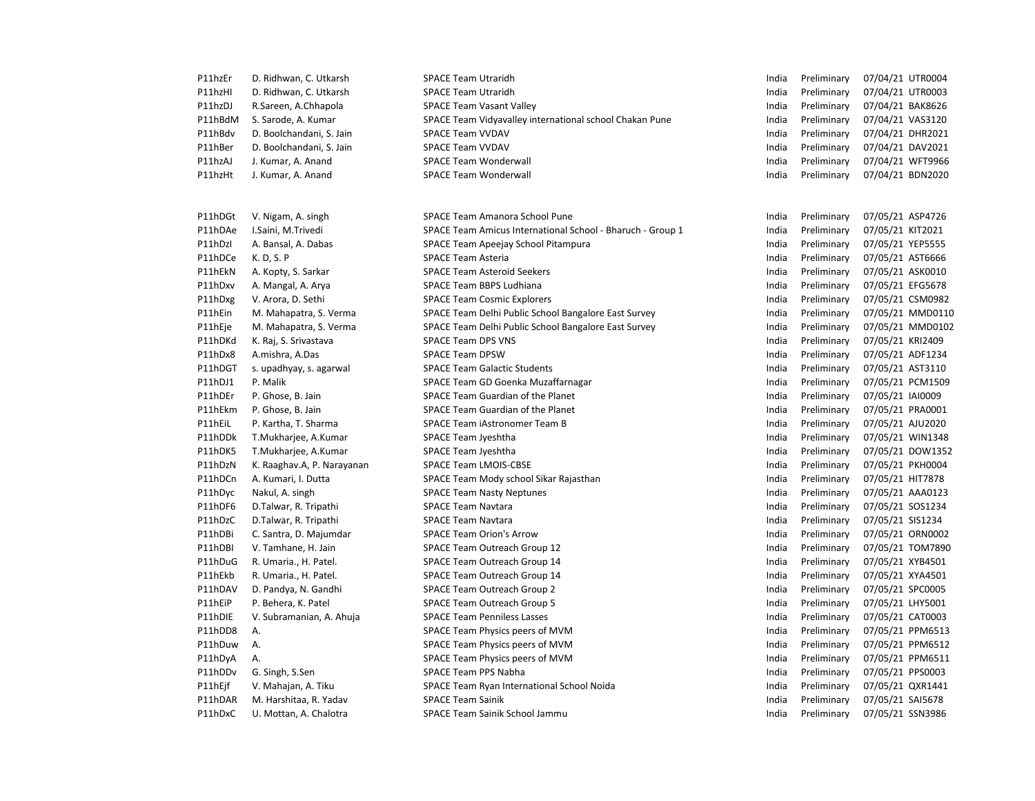| P11hzEr | D. Ridhwan, C. Utkarsh     | <b>SPACE Team Utraridh</b>                                 | India | Preliminary | 07/04/21 UTR0004 |
|---------|----------------------------|------------------------------------------------------------|-------|-------------|------------------|
| P11hzHI | D. Ridhwan, C. Utkarsh     | <b>SPACE Team Utraridh</b>                                 | India | Preliminary | 07/04/21 UTR0003 |
| P11hzDJ | R.Sareen, A.Chhapola       | <b>SPACE Team Vasant Valley</b>                            | India | Preliminary | 07/04/21 BAK8626 |
| P11hBdM | S. Sarode, A. Kumar        | SPACE Team Vidyavalley international school Chakan Pune    | India | Preliminary | 07/04/21 VAS3120 |
| P11hBdv | D. Boolchandani, S. Jain   | <b>SPACE Team VVDAV</b>                                    | India | Preliminary | 07/04/21 DHR2021 |
| P11hBer | D. Boolchandani, S. Jain   | <b>SPACE Team VVDAV</b>                                    | India | Preliminary | 07/04/21 DAV2021 |
| P11hzAJ | J. Kumar, A. Anand         | <b>SPACE Team Wonderwall</b>                               | India | Preliminary | 07/04/21 WFT9966 |
| P11hzHt | J. Kumar, A. Anand         | <b>SPACE Team Wonderwall</b>                               | India | Preliminary | 07/04/21 BDN2020 |
|         |                            |                                                            |       |             |                  |
| P11hDGt | V. Nigam, A. singh         | SPACE Team Amanora School Pune                             | India | Preliminary | 07/05/21 ASP4726 |
| P11hDAe | I.Saini, M.Trivedi         | SPACE Team Amicus International School - Bharuch - Group 1 | India | Preliminary | 07/05/21 KIT2021 |
| P11hDzI | A. Bansal, A. Dabas        | SPACE Team Apeejay School Pitampura                        | India | Preliminary | 07/05/21 YEP5555 |
| P11hDCe | K. D, S. P                 | <b>SPACE Team Asteria</b>                                  | India | Preliminary | 07/05/21 AST6666 |
| P11hEkN | A. Kopty, S. Sarkar        | <b>SPACE Team Asteroid Seekers</b>                         | India | Preliminary | 07/05/21 ASK0010 |
| P11hDxv | A. Mangal, A. Arya         | <b>SPACE Team BBPS Ludhiana</b>                            | India | Preliminary | 07/05/21 EFG5678 |
| P11hDxg | V. Arora, D. Sethi         | <b>SPACE Team Cosmic Explorers</b>                         | India | Preliminary | 07/05/21 CSM0982 |
| P11hEin | M. Mahapatra, S. Verma     | SPACE Team Delhi Public School Bangalore East Survey       | India | Preliminary | 07/05/21 MMD0110 |
| P11hEje | M. Mahapatra, S. Verma     | SPACE Team Delhi Public School Bangalore East Survey       | India | Preliminary | 07/05/21 MMD0102 |
| P11hDKd | K. Raj, S. Srivastava      | <b>SPACE Team DPS VNS</b>                                  | India | Preliminary | 07/05/21 KRI2409 |
| P11hDx8 | A.mishra, A.Das            | <b>SPACE Team DPSW</b>                                     | India | Preliminary | 07/05/21 ADF1234 |
| P11hDGT | s. upadhyay, s. agarwal    | <b>SPACE Team Galactic Students</b>                        | India | Preliminary | 07/05/21 AST3110 |
| P11hDJ1 | P. Malik                   | SPACE Team GD Goenka Muzaffarnagar                         | India | Preliminary | 07/05/21 PCM1509 |
| P11hDEr | P. Ghose, B. Jain          | SPACE Team Guardian of the Planet                          | India | Preliminary | 07/05/21 IAI0009 |
| P11hEkm | P. Ghose, B. Jain          | SPACE Team Guardian of the Planet                          | India | Preliminary | 07/05/21 PRA0001 |
| P11hEiL | P. Kartha, T. Sharma       | SPACE Team iAstronomer Team B                              | India | Preliminary | 07/05/21 AJU2020 |
| P11hDDk | T.Mukharjee, A.Kumar       | SPACE Team Jyeshtha                                        | India | Preliminary | 07/05/21 WIN1348 |
| P11hDK5 | T.Mukharjee, A.Kumar       | SPACE Team Jyeshtha                                        | India | Preliminary | 07/05/21 DOW1352 |
| P11hDzN | K. Raaghav.A, P. Narayanan | SPACE Team LMOIS-CBSE                                      | India | Preliminary | 07/05/21 PKH0004 |
| P11hDCn | A. Kumari, I. Dutta        | SPACE Team Mody school Sikar Rajasthan                     | India | Preliminary | 07/05/21 HIT7878 |
| P11hDyc | Nakul, A. singh            | <b>SPACE Team Nasty Neptunes</b>                           | India | Preliminary | 07/05/21 AAA0123 |
| P11hDF6 | D.Talwar, R. Tripathi      | <b>SPACE Team Navtara</b>                                  | India | Preliminary | 07/05/21 SOS1234 |
| P11hDzC | D.Talwar, R. Tripathi      | <b>SPACE Team Navtara</b>                                  | India | Preliminary | 07/05/21 SIS1234 |
| P11hDBi | C. Santra, D. Majumdar     | <b>SPACE Team Orion's Arrow</b>                            | India | Preliminary | 07/05/21 ORN0002 |
| P11hDBI | V. Tamhane, H. Jain        | SPACE Team Outreach Group 12                               | India | Preliminary | 07/05/21 TOM7890 |
| P11hDuG | R. Umaria., H. Patel.      | SPACE Team Outreach Group 14                               | India | Preliminary | 07/05/21 XYB4501 |
| P11hEkb | R. Umaria., H. Patel.      | SPACE Team Outreach Group 14                               | India | Preliminary | 07/05/21 XYA4501 |
| P11hDAV | D. Pandya, N. Gandhi       | SPACE Team Outreach Group 2                                | India | Preliminary | 07/05/21 SPC0005 |
| P11hEiP | P. Behera, K. Patel        | SPACE Team Outreach Group 5                                | India | Preliminary | 07/05/21 LHY5001 |
| P11hDIE | V. Subramanian, A. Ahuja   | <b>SPACE Team Penniless Lasses</b>                         | India | Preliminary | 07/05/21 CAT0003 |
| P11hDD8 | Α.                         | SPACE Team Physics peers of MVM                            | India | Preliminary | 07/05/21 PPM6513 |
| P11hDuw | Α.                         | SPACE Team Physics peers of MVM                            | India | Preliminary | 07/05/21 PPM6512 |
| P11hDyA | Α.                         | SPACE Team Physics peers of MVM                            | India | Preliminary | 07/05/21 PPM6511 |
| P11hDDv | G. Singh, S.Sen            | SPACE Team PPS Nabha                                       | India | Preliminary | 07/05/21 PPS0003 |
| P11hEjf | V. Mahajan, A. Tiku        | SPACE Team Ryan International School Noida                 | India | Preliminary | 07/05/21 QXR1441 |
| P11hDAR | M. Harshitaa, R. Yadav     | <b>SPACE Team Sainik</b>                                   | India | Preliminary | 07/05/21 SAI5678 |
| P11hDxC | U. Mottan, A. Chalotra     | SPACE Team Sainik School Jammu                             | India | Preliminary | 07/05/21 SSN3986 |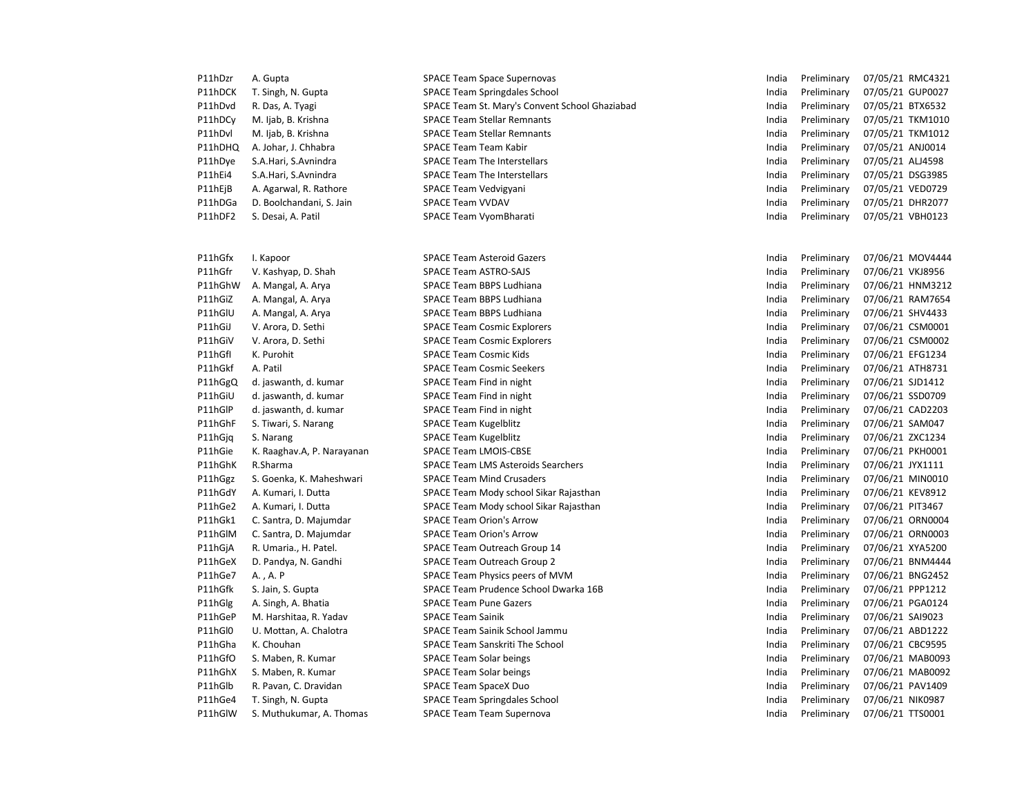| P11hDzr | A. Gupta                   | <b>SPACE Team Space Supernovas</b>             | India | Preliminary | 07/05/21 RMC4321 |
|---------|----------------------------|------------------------------------------------|-------|-------------|------------------|
| P11hDCK | T. Singh, N. Gupta         | <b>SPACE Team Springdales School</b>           | India | Preliminary | 07/05/21 GUP0027 |
| P11hDvd | R. Das, A. Tyagi           | SPACE Team St. Mary's Convent School Ghaziabad | India | Preliminary | 07/05/21 BTX6532 |
| P11hDCv | M. Ijab, B. Krishna        | <b>SPACE Team Stellar Remnants</b>             | India | Preliminary | 07/05/21 TKM1010 |
| P11hDvl | M. Ijab, B. Krishna        | <b>SPACE Team Stellar Remnants</b>             | India | Preliminary | 07/05/21 TKM1012 |
| P11hDHQ | A. Johar, J. Chhabra       | SPACE Team Team Kabir                          | India | Preliminary | 07/05/21 ANJ0014 |
| P11hDye | S.A.Hari, S.Avnindra       | <b>SPACE Team The Interstellars</b>            | India | Preliminary | 07/05/21 ALJ4598 |
| P11hEi4 | S.A.Hari, S.Avnindra       | <b>SPACE Team The Interstellars</b>            | India | Preliminary | 07/05/21 DSG3985 |
| P11hEjB | A. Agarwal, R. Rathore     | SPACE Team Vedvigyani                          | India | Preliminary | 07/05/21 VED0729 |
| P11hDGa | D. Boolchandani, S. Jain   | <b>SPACE Team VVDAV</b>                        | India | Preliminary | 07/05/21 DHR2077 |
| P11hDF2 | S. Desai, A. Patil         | SPACE Team VyomBharati                         | India | Preliminary | 07/05/21 VBH0123 |
|         |                            |                                                |       |             |                  |
|         |                            |                                                |       |             |                  |
| P11hGfx | I. Kapoor                  | <b>SPACE Team Asteroid Gazers</b>              | India | Preliminary | 07/06/21 MOV4444 |
| P11hGfr | V. Kashyap, D. Shah        | <b>SPACE Team ASTRO-SAJS</b>                   | India | Preliminary | 07/06/21 VKJ8956 |
| P11hGhW | A. Mangal, A. Arya         | SPACE Team BBPS Ludhiana                       | India | Preliminary | 07/06/21 HNM3212 |
| P11hGiZ | A. Mangal, A. Arya         | SPACE Team BBPS Ludhiana                       | India | Preliminary | 07/06/21 RAM7654 |
| P11hGIU | A. Mangal, A. Arya         | <b>SPACE Team BBPS Ludhiana</b>                | India | Preliminary | 07/06/21 SHV4433 |
| P11hGiJ | V. Arora, D. Sethi         | <b>SPACE Team Cosmic Explorers</b>             | India | Preliminary | 07/06/21 CSM0001 |
| P11hGiV | V. Arora, D. Sethi         | <b>SPACE Team Cosmic Explorers</b>             | India | Preliminary | 07/06/21 CSM0002 |
| P11hGfI | K. Purohit                 | <b>SPACE Team Cosmic Kids</b>                  | India | Preliminary | 07/06/21 EFG1234 |
| P11hGkf | A. Patil                   | <b>SPACE Team Cosmic Seekers</b>               | India | Preliminary | 07/06/21 ATH8731 |
| P11hGgQ | d. jaswanth, d. kumar      | SPACE Team Find in night                       | India | Preliminary | 07/06/21 SJD1412 |
| P11hGiU | d. jaswanth, d. kumar      | SPACE Team Find in night                       | India | Preliminary | 07/06/21 SSD0709 |
| P11hGIP | d. jaswanth, d. kumar      | <b>SPACE Team Find in night</b>                | India | Preliminary | 07/06/21 CAD2203 |
| P11hGhF | S. Tiwari, S. Narang       | <b>SPACE Team Kugelblitz</b>                   | India | Preliminary | 07/06/21 SAM047  |
| P11hGjq | S. Narang                  | SPACE Team Kugelblitz                          | India | Preliminary | 07/06/21 ZXC1234 |
| P11hGie | K. Raaghav.A, P. Narayanan | <b>SPACE Team LMOIS-CBSE</b>                   | India | Preliminary | 07/06/21 PKH0001 |
| P11hGhK | R.Sharma                   | <b>SPACE Team LMS Asteroids Searchers</b>      | India | Preliminary | 07/06/21 JYX1111 |
| P11hGgz | S. Goenka, K. Maheshwari   | <b>SPACE Team Mind Crusaders</b>               | India | Preliminary | 07/06/21 MIN0010 |
| P11hGdY | A. Kumari, I. Dutta        | SPACE Team Mody school Sikar Rajasthan         | India | Preliminary | 07/06/21 KEV8912 |
| P11hGe2 | A. Kumari, I. Dutta        | SPACE Team Mody school Sikar Rajasthan         | India | Preliminary | 07/06/21 PIT3467 |
| P11hGk1 | C. Santra, D. Majumdar     | <b>SPACE Team Orion's Arrow</b>                | India | Preliminary | 07/06/21 ORN0004 |
| P11hGIM | C. Santra, D. Majumdar     | <b>SPACE Team Orion's Arrow</b>                | India | Preliminary | 07/06/21 ORN0003 |
| P11hGjA | R. Umaria., H. Patel.      | SPACE Team Outreach Group 14                   | India | Preliminary | 07/06/21 XYA5200 |
| P11hGeX | D. Pandya, N. Gandhi       | SPACE Team Outreach Group 2                    | India | Preliminary | 07/06/21 BNM4444 |
| P11hGe7 | A., A. P                   | SPACE Team Physics peers of MVM                | India | Preliminary | 07/06/21 BNG2452 |
| P11hGfk | S. Jain, S. Gupta          | SPACE Team Prudence School Dwarka 16B          | India | Preliminary | 07/06/21 PPP1212 |
| P11hGlg | A. Singh, A. Bhatia        | <b>SPACE Team Pune Gazers</b>                  | India | Preliminary | 07/06/21 PGA0124 |
| P11hGeP | M. Harshitaa, R. Yadav     | <b>SPACE Team Sainik</b>                       | India | Preliminary | 07/06/21 SAI9023 |
| P11hGl0 | U. Mottan, A. Chalotra     | SPACE Team Sainik School Jammu                 | India | Preliminary | 07/06/21 ABD1222 |
| P11hGha | K. Chouhan                 | <b>SPACE Team Sanskriti The School</b>         | India | Preliminary | 07/06/21 CBC9595 |
| P11hGfO | S. Maben, R. Kumar         | <b>SPACE Team Solar beings</b>                 | India | Preliminary | 07/06/21 MAB0093 |
| P11hGhX | S. Maben, R. Kumar         | <b>SPACE Team Solar beings</b>                 | India | Preliminary | 07/06/21 MAB0092 |
| P11hGlb | R. Pavan, C. Dravidan      | <b>SPACE Team SpaceX Duo</b>                   | India | Preliminary | 07/06/21 PAV1409 |
| P11hGe4 | T. Singh, N. Gupta         | <b>SPACE Team Springdales School</b>           | India | Preliminary | 07/06/21 NIK0987 |
| P11hGlW | S. Muthukumar, A. Thomas   | <b>SPACE Team Team Supernova</b>               | India | Preliminary | 07/06/21 TTS0001 |
|         |                            |                                                |       |             |                  |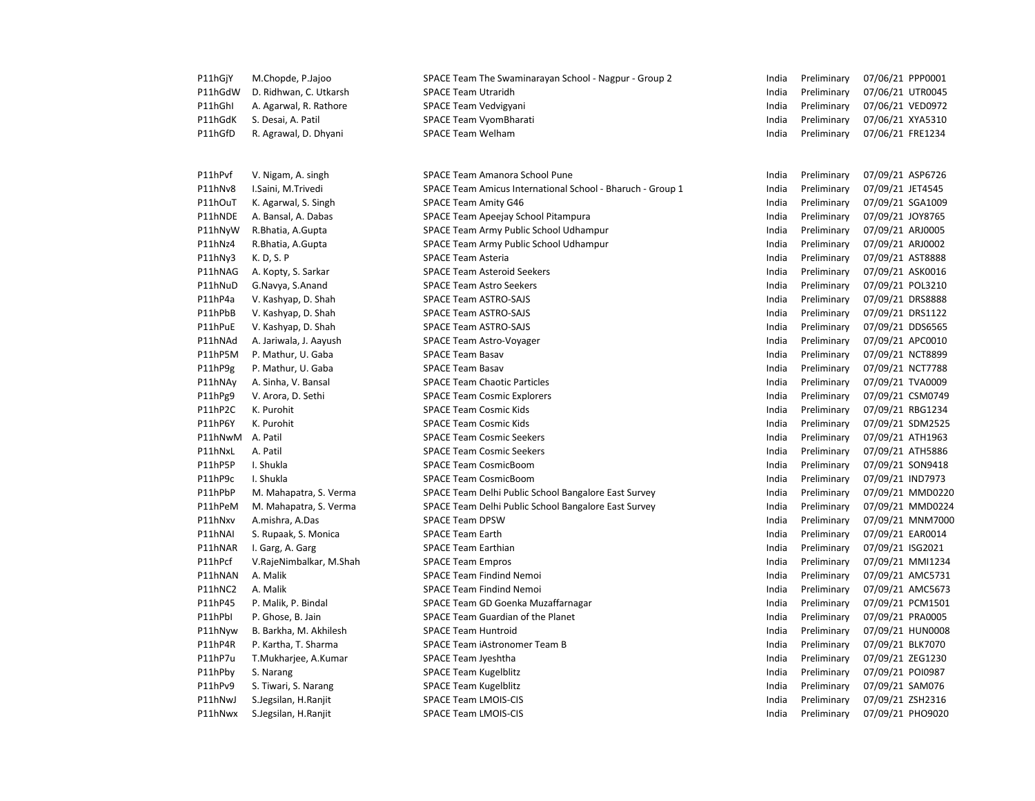| P11hGjY | M.Chopde, P.Jajoo       | SPACE Team The Swaminarayan School - Nagpur - Group 2      | India | Preliminary | 07/06/21 PPP0001 |
|---------|-------------------------|------------------------------------------------------------|-------|-------------|------------------|
| P11hGdW | D. Ridhwan, C. Utkarsh  | <b>SPACE Team Utraridh</b>                                 | India | Preliminary | 07/06/21 UTR0045 |
| P11hGhI | A. Agarwal, R. Rathore  | SPACE Team Vedvigyani                                      | India | Preliminary | 07/06/21 VED0972 |
| P11hGdK | S. Desai, A. Patil      | SPACE Team VyomBharati                                     | India | Preliminary | 07/06/21 XYA5310 |
| P11hGfD | R. Agrawal, D. Dhyani   | <b>SPACE Team Welham</b>                                   | India | Preliminary | 07/06/21 FRE1234 |
|         |                         |                                                            |       |             |                  |
| P11hPvf | V. Nigam, A. singh      | SPACE Team Amanora School Pune                             | India | Preliminary | 07/09/21 ASP6726 |
| P11hNv8 | I.Saini, M.Trivedi      | SPACE Team Amicus International School - Bharuch - Group 1 | India | Preliminary | 07/09/21 JET4545 |
| P11hOuT | K. Agarwal, S. Singh    | <b>SPACE Team Amity G46</b>                                | India | Preliminary | 07/09/21 SGA1009 |
| P11hNDE | A. Bansal, A. Dabas     | SPACE Team Apeejay School Pitampura                        | India | Preliminary | 07/09/21 JOY8765 |
| P11hNyW | R.Bhatia, A.Gupta       | SPACE Team Army Public School Udhampur                     | India | Preliminary | 07/09/21 ARJ0005 |
| P11hNz4 | R.Bhatia, A.Gupta       | SPACE Team Army Public School Udhampur                     | India | Preliminary | 07/09/21 ARJ0002 |
| P11hNy3 | K. D, S. P              | <b>SPACE Team Asteria</b>                                  | India | Preliminary | 07/09/21 AST8888 |
| P11hNAG | A. Kopty, S. Sarkar     | <b>SPACE Team Asteroid Seekers</b>                         | India | Preliminary | 07/09/21 ASK0016 |
| P11hNuD | G.Navya, S.Anand        | <b>SPACE Team Astro Seekers</b>                            | India | Preliminary | 07/09/21 POL3210 |
| P11hP4a | V. Kashyap, D. Shah     | SPACE Team ASTRO-SAJS                                      | India | Preliminary | 07/09/21 DRS8888 |
| P11hPbB | V. Kashyap, D. Shah     | SPACE Team ASTRO-SAJS                                      | India | Preliminary | 07/09/21 DRS1122 |
| P11hPuE | V. Kashyap, D. Shah     | SPACE Team ASTRO-SAJS                                      | India | Preliminary | 07/09/21 DDS6565 |
| P11hNAd | A. Jariwala, J. Aayush  | SPACE Team Astro-Voyager                                   | India | Preliminary | 07/09/21 APC0010 |
| P11hP5M | P. Mathur, U. Gaba      | <b>SPACE Team Basav</b>                                    | India | Preliminary | 07/09/21 NCT8899 |
| P11hP9g | P. Mathur, U. Gaba      | <b>SPACE Team Basav</b>                                    | India | Preliminary | 07/09/21 NCT7788 |
| P11hNAy | A. Sinha, V. Bansal     | <b>SPACE Team Chaotic Particles</b>                        | India | Preliminary | 07/09/21 TVA0009 |
| P11hPg9 | V. Arora, D. Sethi      | <b>SPACE Team Cosmic Explorers</b>                         | India | Preliminary | 07/09/21 CSM0749 |
| P11hP2C | K. Purohit              | <b>SPACE Team Cosmic Kids</b>                              | India | Preliminary | 07/09/21 RBG1234 |
| P11hP6Y | K. Purohit              | <b>SPACE Team Cosmic Kids</b>                              | India | Preliminary | 07/09/21 SDM2525 |
| P11hNwM | A. Patil                | <b>SPACE Team Cosmic Seekers</b>                           | India | Preliminary | 07/09/21 ATH1963 |
| P11hNxL | A. Patil                | <b>SPACE Team Cosmic Seekers</b>                           | India | Preliminary | 07/09/21 ATH5886 |
| P11hP5P | I. Shukla               | <b>SPACE Team CosmicBoom</b>                               | India | Preliminary | 07/09/21 SON9418 |
| P11hP9c | I. Shukla               | <b>SPACE Team CosmicBoom</b>                               | India | Preliminary | 07/09/21 IND7973 |
| P11hPbP | M. Mahapatra, S. Verma  | SPACE Team Delhi Public School Bangalore East Survey       | India | Preliminary | 07/09/21 MMD0220 |
| P11hPeM | M. Mahapatra, S. Verma  | SPACE Team Delhi Public School Bangalore East Survey       | India | Preliminary | 07/09/21 MMD0224 |
| P11hNxv | A.mishra, A.Das         | <b>SPACE Team DPSW</b>                                     | India | Preliminary | 07/09/21 MNM7000 |
| P11hNAI | S. Rupaak, S. Monica    | <b>SPACE Team Earth</b>                                    | India | Preliminary | 07/09/21 EAR0014 |
| P11hNAR | I. Garg, A. Garg        | <b>SPACE Team Earthian</b>                                 | India | Preliminary | 07/09/21 ISG2021 |
| P11hPcf | V.RajeNimbalkar, M.Shah | <b>SPACE Team Empros</b>                                   | India | Preliminary | 07/09/21 MMI1234 |
| P11hNAN | A. Malik                | <b>SPACE Team Findind Nemoi</b>                            | India | Preliminary | 07/09/21 AMC5731 |
| P11hNC2 | A. Malik                | <b>SPACE Team Findind Nemoi</b>                            | India | Preliminary | 07/09/21 AMC5673 |
| P11hP45 | P. Malik, P. Bindal     | SPACE Team GD Goenka Muzaffarnagar                         | India | Preliminary | 07/09/21 PCM1501 |
| P11hPbl | P. Ghose, B. Jain       | SPACE Team Guardian of the Planet                          | India | Preliminary | 07/09/21 PRA0005 |
| P11hNyw | B. Barkha, M. Akhilesh  | <b>SPACE Team Huntroid</b>                                 | India | Preliminary | 07/09/21 HUN0008 |
| P11hP4R | P. Kartha, T. Sharma    | SPACE Team iAstronomer Team B                              | India | Preliminary | 07/09/21 BLK7070 |
| P11hP7u | T.Mukharjee, A.Kumar    | SPACE Team Jyeshtha                                        | India | Preliminary | 07/09/21 ZEG1230 |
| P11hPby | S. Narang               | <b>SPACE Team Kugelblitz</b>                               | India | Preliminary | 07/09/21 POI0987 |
| P11hPv9 | S. Tiwari, S. Narang    | <b>SPACE Team Kugelblitz</b>                               | India | Preliminary | 07/09/21 SAM076  |
| P11hNwJ | S.Jegsilan, H.Ranjit    | SPACE Team LMOIS-CIS                                       | India | Preliminary | 07/09/21 ZSH2316 |
| P11hNwx | S.Jegsilan, H.Ranjit    | <b>SPACE Team LMOIS-CIS</b>                                | India | Preliminary | 07/09/21 PHO9020 |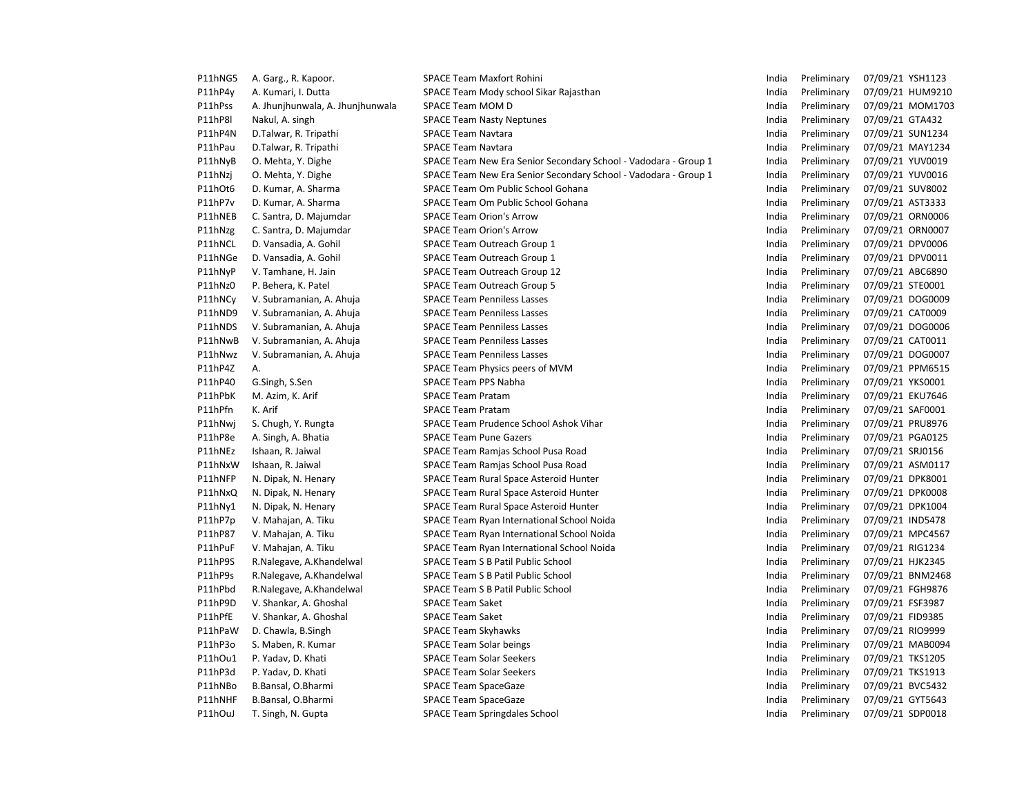| P11hNG5 | A. Garg., R. Kapoor.             | <b>SPACE Team Maxfort Rohini</b>                                | India | Preliminary | 07/09/21 YSH1123 |
|---------|----------------------------------|-----------------------------------------------------------------|-------|-------------|------------------|
| P11hP4y | A. Kumari, I. Dutta              | SPACE Team Mody school Sikar Rajasthan                          | India | Preliminary | 07/09/21 HUM9210 |
| P11hPss | A. Jhunjhunwala, A. Jhunjhunwala | SPACE Team MOM D                                                | India | Preliminary | 07/09/21 MOM1703 |
| P11hP8I | Nakul, A. singh                  | <b>SPACE Team Nasty Neptunes</b>                                | India | Preliminary | 07/09/21 GTA432  |
| P11hP4N | D.Talwar, R. Tripathi            | <b>SPACE Team Navtara</b>                                       | India | Preliminary | 07/09/21 SUN1234 |
| P11hPau | D.Talwar, R. Tripathi            | <b>SPACE Team Navtara</b>                                       | India | Preliminary | 07/09/21 MAY1234 |
| P11hNyB | O. Mehta, Y. Dighe               | SPACE Team New Era Senior Secondary School - Vadodara - Group 1 | India | Preliminary | 07/09/21 YUV0019 |
| P11hNzj | O. Mehta, Y. Dighe               | SPACE Team New Era Senior Secondary School - Vadodara - Group 1 | India | Preliminary | 07/09/21 YUV0016 |
| P11hOt6 | D. Kumar, A. Sharma              | SPACE Team Om Public School Gohana                              | India | Preliminary | 07/09/21 SUV8002 |
| P11hP7v | D. Kumar, A. Sharma              | SPACE Team Om Public School Gohana                              | India | Preliminary | 07/09/21 AST3333 |
| P11hNEB | C. Santra, D. Majumdar           | <b>SPACE Team Orion's Arrow</b>                                 | India | Preliminary | 07/09/21 ORN0006 |
| P11hNzg | C. Santra, D. Majumdar           | <b>SPACE Team Orion's Arrow</b>                                 | India | Preliminary | 07/09/21 ORN0007 |
| P11hNCL | D. Vansadia, A. Gohil            | SPACE Team Outreach Group 1                                     | India | Preliminary | 07/09/21 DPV0006 |
| P11hNGe | D. Vansadia, A. Gohil            | SPACE Team Outreach Group 1                                     | India | Preliminary | 07/09/21 DPV0011 |
| P11hNyP | V. Tamhane, H. Jain              | SPACE Team Outreach Group 12                                    | India | Preliminary | 07/09/21 ABC6890 |
| P11hNz0 | P. Behera, K. Patel              | SPACE Team Outreach Group 5                                     | India | Preliminary | 07/09/21 STE0001 |
| P11hNCy | V. Subramanian, A. Ahuja         | <b>SPACE Team Penniless Lasses</b>                              | India | Preliminary | 07/09/21 DOG0009 |
| P11hND9 | V. Subramanian, A. Ahuja         | <b>SPACE Team Penniless Lasses</b>                              | India | Preliminary | 07/09/21 CAT0009 |
| P11hNDS | V. Subramanian, A. Ahuja         | <b>SPACE Team Penniless Lasses</b>                              | India | Preliminary | 07/09/21 DOG0006 |
| P11hNwB | V. Subramanian, A. Ahuja         | <b>SPACE Team Penniless Lasses</b>                              | India | Preliminary | 07/09/21 CAT0011 |
| P11hNwz | V. Subramanian, A. Ahuja         | <b>SPACE Team Penniless Lasses</b>                              | India | Preliminary | 07/09/21 DOG0007 |
| P11hP4Z | Α.                               | SPACE Team Physics peers of MVM                                 | India | Preliminary | 07/09/21 PPM6515 |
| P11hP40 | G.Singh, S.Sen                   | SPACE Team PPS Nabha                                            | India | Preliminary | 07/09/21 YKS0001 |
| P11hPbK | M. Azim, K. Arif                 | <b>SPACE Team Pratam</b>                                        | India | Preliminary | 07/09/21 EKU7646 |
| P11hPfn | K. Arif                          | <b>SPACE Team Pratam</b>                                        | India | Preliminary | 07/09/21 SAF0001 |
| P11hNwi | S. Chugh, Y. Rungta              | SPACE Team Prudence School Ashok Vihar                          | India | Preliminary | 07/09/21 PRU8976 |
| P11hP8e | A. Singh, A. Bhatia              | <b>SPACE Team Pune Gazers</b>                                   | India | Preliminary | 07/09/21 PGA0125 |
| P11hNEz | Ishaan, R. Jaiwal                | SPACE Team Ramjas School Pusa Road                              | India | Preliminary | 07/09/21 SRJ0156 |
| P11hNxW | Ishaan, R. Jaiwal                | SPACE Team Ramjas School Pusa Road                              | India | Preliminary | 07/09/21 ASM0117 |
| P11hNFP | N. Dipak, N. Henary              | SPACE Team Rural Space Asteroid Hunter                          | India | Preliminary | 07/09/21 DPK8001 |
| P11hNxQ | N. Dipak, N. Henary              | SPACE Team Rural Space Asteroid Hunter                          | India | Preliminary | 07/09/21 DPK0008 |
| P11hNy1 | N. Dipak, N. Henary              | SPACE Team Rural Space Asteroid Hunter                          | India | Preliminary | 07/09/21 DPK1004 |
| P11hP7p | V. Mahajan, A. Tiku              | SPACE Team Ryan International School Noida                      | India | Preliminary | 07/09/21 IND5478 |
| P11hP87 | V. Mahajan, A. Tiku              | SPACE Team Ryan International School Noida                      | India | Preliminary | 07/09/21 MPC4567 |
| P11hPuF | V. Mahajan, A. Tiku              | SPACE Team Ryan International School Noida                      | India | Preliminary | 07/09/21 RIG1234 |
| P11hP9S | R.Nalegave, A.Khandelwal         | SPACE Team S B Patil Public School                              | India | Preliminary | 07/09/21 HJK2345 |
| P11hP9s | R.Nalegave, A.Khandelwal         | SPACE Team S B Patil Public School                              | India | Preliminary | 07/09/21 BNM2468 |
| P11hPbd | R.Nalegave, A.Khandelwal         | SPACE Team S B Patil Public School                              | India | Preliminary | 07/09/21 FGH9876 |
| P11hP9D | V. Shankar, A. Ghoshal           | <b>SPACE Team Saket</b>                                         | India | Preliminary | 07/09/21 FSF3987 |
| P11hPfE | V. Shankar, A. Ghoshal           | <b>SPACE Team Saket</b>                                         | India | Preliminary | 07/09/21 FID9385 |
| P11hPaW | D. Chawla, B.Singh               | <b>SPACE Team Skyhawks</b>                                      | India | Preliminary | 07/09/21 RIO9999 |
| P11hP3o | S. Maben, R. Kumar               | <b>SPACE Team Solar beings</b>                                  | India | Preliminary | 07/09/21 MAB0094 |
| P11hOu1 | P. Yadav, D. Khati               | <b>SPACE Team Solar Seekers</b>                                 | India | Preliminary | 07/09/21 TKS1205 |
| P11hP3d | P. Yadav, D. Khati               | <b>SPACE Team Solar Seekers</b>                                 | India | Preliminary | 07/09/21 TKS1913 |
| P11hNBo | B.Bansal, O.Bharmi               | <b>SPACE Team SpaceGaze</b>                                     | India | Preliminary | 07/09/21 BVC5432 |
| P11hNHF | B.Bansal, O.Bharmi               | <b>SPACE Team SpaceGaze</b>                                     | India | Preliminary | 07/09/21 GYT5643 |
| P11hOuJ | T. Singh, N. Gupta               | <b>SPACE Team Springdales School</b>                            | India | Preliminary | 07/09/21 SDP0018 |
|         |                                  |                                                                 |       |             |                  |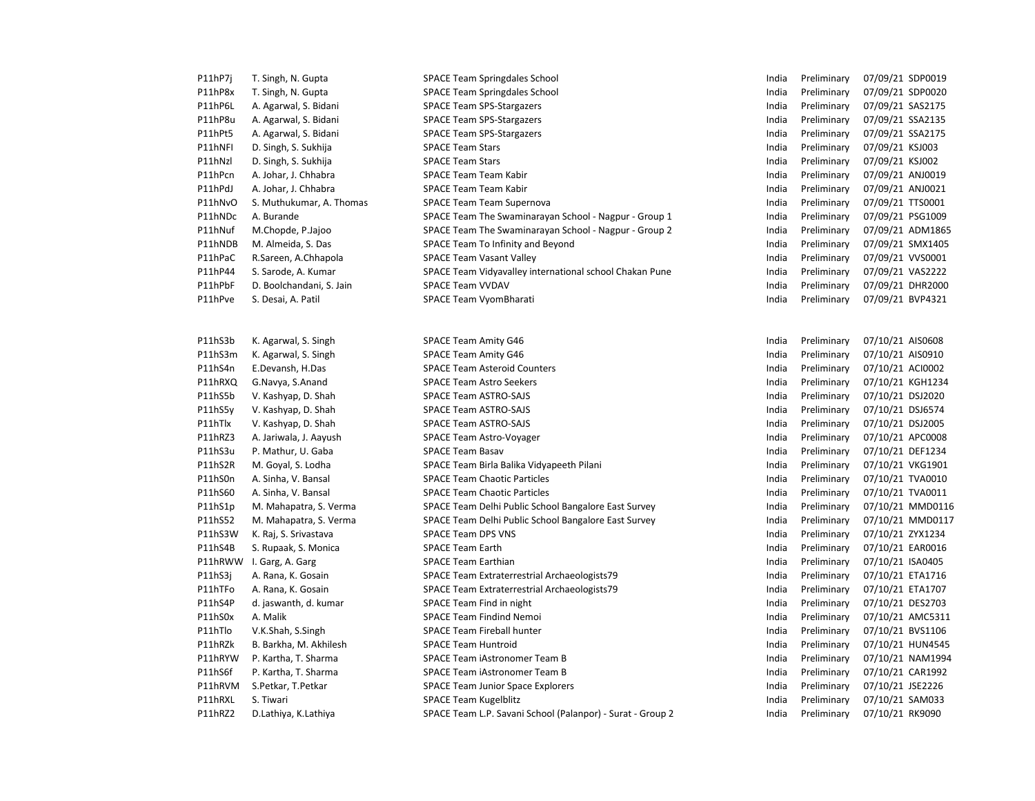| P11hP7j | T. Singh, N. Gupta       | <b>SPACE Team Springdales School</b>                       | India | Preliminary | 07/09/21 SDP0019 |
|---------|--------------------------|------------------------------------------------------------|-------|-------------|------------------|
| P11hP8x | T. Singh, N. Gupta       | <b>SPACE Team Springdales School</b>                       | India | Preliminary | 07/09/21 SDP0020 |
| P11hP6L | A. Agarwal, S. Bidani    | <b>SPACE Team SPS-Stargazers</b>                           | India | Preliminary | 07/09/21 SAS2175 |
| P11hP8u | A. Agarwal, S. Bidani    | <b>SPACE Team SPS-Stargazers</b>                           | India | Preliminary | 07/09/21 SSA2135 |
| P11hPt5 | A. Agarwal, S. Bidani    | <b>SPACE Team SPS-Stargazers</b>                           | India | Preliminary | 07/09/21 SSA2175 |
| P11hNFI | D. Singh, S. Sukhija     | <b>SPACE Team Stars</b>                                    | India | Preliminary | 07/09/21 KSJ003  |
| P11hNzl | D. Singh, S. Sukhija     | <b>SPACE Team Stars</b>                                    | India | Preliminary | 07/09/21 KSJ002  |
| P11hPcn | A. Johar, J. Chhabra     | <b>SPACE Team Team Kabir</b>                               | India | Preliminary | 07/09/21 ANJ0019 |
| P11hPdJ | A. Johar, J. Chhabra     | SPACE Team Team Kabir                                      | India | Preliminary | 07/09/21 ANJ0021 |
| P11hNvO | S. Muthukumar, A. Thomas | <b>SPACE Team Team Supernova</b>                           | India | Preliminary | 07/09/21 TTS0001 |
| P11hNDc | A. Burande               | SPACE Team The Swaminarayan School - Nagpur - Group 1      | India | Preliminary | 07/09/21 PSG1009 |
| P11hNuf | M.Chopde, P.Jajoo        | SPACE Team The Swaminarayan School - Nagpur - Group 2      | India | Preliminary | 07/09/21 ADM1865 |
| P11hNDB | M. Almeida, S. Das       | SPACE Team To Infinity and Beyond                          | India | Preliminary | 07/09/21 SMX1405 |
| P11hPaC | R.Sareen, A.Chhapola     | <b>SPACE Team Vasant Valley</b>                            | India | Preliminary | 07/09/21 VVS0001 |
| P11hP44 | S. Sarode, A. Kumar      | SPACE Team Vidyavalley international school Chakan Pune    | India | Preliminary | 07/09/21 VAS2222 |
| P11hPbF | D. Boolchandani, S. Jain | <b>SPACE Team VVDAV</b>                                    | India | Preliminary | 07/09/21 DHR2000 |
| P11hPve | S. Desai, A. Patil       | SPACE Team VyomBharati                                     | India | Preliminary | 07/09/21 BVP4321 |
| P11hS3b | K. Agarwal, S. Singh     | <b>SPACE Team Amity G46</b>                                | India | Preliminary | 07/10/21 AIS0608 |
| P11hS3m | K. Agarwal, S. Singh     | <b>SPACE Team Amity G46</b>                                | India | Preliminary | 07/10/21 AIS0910 |
| P11hS4n | E.Devansh, H.Das         | <b>SPACE Team Asteroid Counters</b>                        | India | Preliminary | 07/10/21 ACI0002 |
| P11hRXQ | G.Navya, S.Anand         | <b>SPACE Team Astro Seekers</b>                            | India | Preliminary | 07/10/21 KGH1234 |
| P11hS5b | V. Kashyap, D. Shah      | <b>SPACE Team ASTRO-SAJS</b>                               | India | Preliminary | 07/10/21 DSJ2020 |
| P11hS5y | V. Kashyap, D. Shah      | <b>SPACE Team ASTRO-SAJS</b>                               | India | Preliminary | 07/10/21 DSJ6574 |
| P11hTlx | V. Kashyap, D. Shah      | <b>SPACE Team ASTRO-SAJS</b>                               | India | Preliminary | 07/10/21 DSJ2005 |
| P11hRZ3 | A. Jariwala, J. Aayush   | SPACE Team Astro-Voyager                                   | India | Preliminary | 07/10/21 APC0008 |
| P11hS3u | P. Mathur, U. Gaba       | <b>SPACE Team Basav</b>                                    | India | Preliminary | 07/10/21 DEF1234 |
| P11hS2R | M. Goyal, S. Lodha       | SPACE Team Birla Balika Vidyapeeth Pilani                  | India | Preliminary | 07/10/21 VKG1901 |
| P11hS0n | A. Sinha, V. Bansal      | <b>SPACE Team Chaotic Particles</b>                        | India | Preliminary | 07/10/21 TVA0010 |
| P11hS60 | A. Sinha, V. Bansal      | <b>SPACE Team Chaotic Particles</b>                        | India | Preliminary | 07/10/21 TVA0011 |
| P11hS1p | M. Mahapatra, S. Verma   | SPACE Team Delhi Public School Bangalore East Survey       | India | Preliminary | 07/10/21 MMD0116 |
| P11hS52 | M. Mahapatra, S. Verma   | SPACE Team Delhi Public School Bangalore East Survey       | India | Preliminary | 07/10/21 MMD0117 |
| P11hS3W | K. Raj, S. Srivastava    | <b>SPACE Team DPS VNS</b>                                  | India | Preliminary | 07/10/21 ZYX1234 |
| P11hS4B | S. Rupaak, S. Monica     | <b>SPACE Team Earth</b>                                    | India | Preliminary | 07/10/21 EAR0016 |
|         | P11hRWW I. Garg, A. Garg | <b>SPACE Team Earthian</b>                                 | India | Preliminary | 07/10/21 ISA0405 |
| P11hS3j | A. Rana, K. Gosain       | SPACE Team Extraterrestrial Archaeologists79               | India | Preliminary | 07/10/21 ETA1716 |
| P11hTFo | A. Rana, K. Gosain       | SPACE Team Extraterrestrial Archaeologists79               | India | Preliminary | 07/10/21 ETA1707 |
| P11hS4P | d. jaswanth, d. kumar    | SPACE Team Find in night                                   | India | Preliminary | 07/10/21 DES2703 |
| P11hS0x | A. Malik                 | <b>SPACE Team Findind Nemoi</b>                            | India | Preliminary | 07/10/21 AMC5311 |
| P11hTlo | V.K.Shah, S.Singh        | <b>SPACE Team Fireball hunter</b>                          | India | Preliminary | 07/10/21 BVS1106 |
| P11hRZk | B. Barkha, M. Akhilesh   | <b>SPACE Team Huntroid</b>                                 | India | Preliminary | 07/10/21 HUN4545 |
| P11hRYW | P. Kartha, T. Sharma     | SPACE Team iAstronomer Team B                              | India | Preliminary | 07/10/21 NAM1994 |
| P11hS6f | P. Kartha, T. Sharma     | SPACE Team iAstronomer Team B                              | India | Preliminary | 07/10/21 CAR1992 |
| P11hRVM | S.Petkar, T.Petkar       | <b>SPACE Team Junior Space Explorers</b>                   | India | Preliminary | 07/10/21 JSE2226 |
| P11hRXL | S. Tiwari                | <b>SPACE Team Kugelblitz</b>                               | India | Preliminary | 07/10/21 SAM033  |
| P11hRZ2 | D.Lathiya, K.Lathiya     | SPACE Team L.P. Savani School (Palanpor) - Surat - Group 2 | India | Preliminary | 07/10/21 RK9090  |